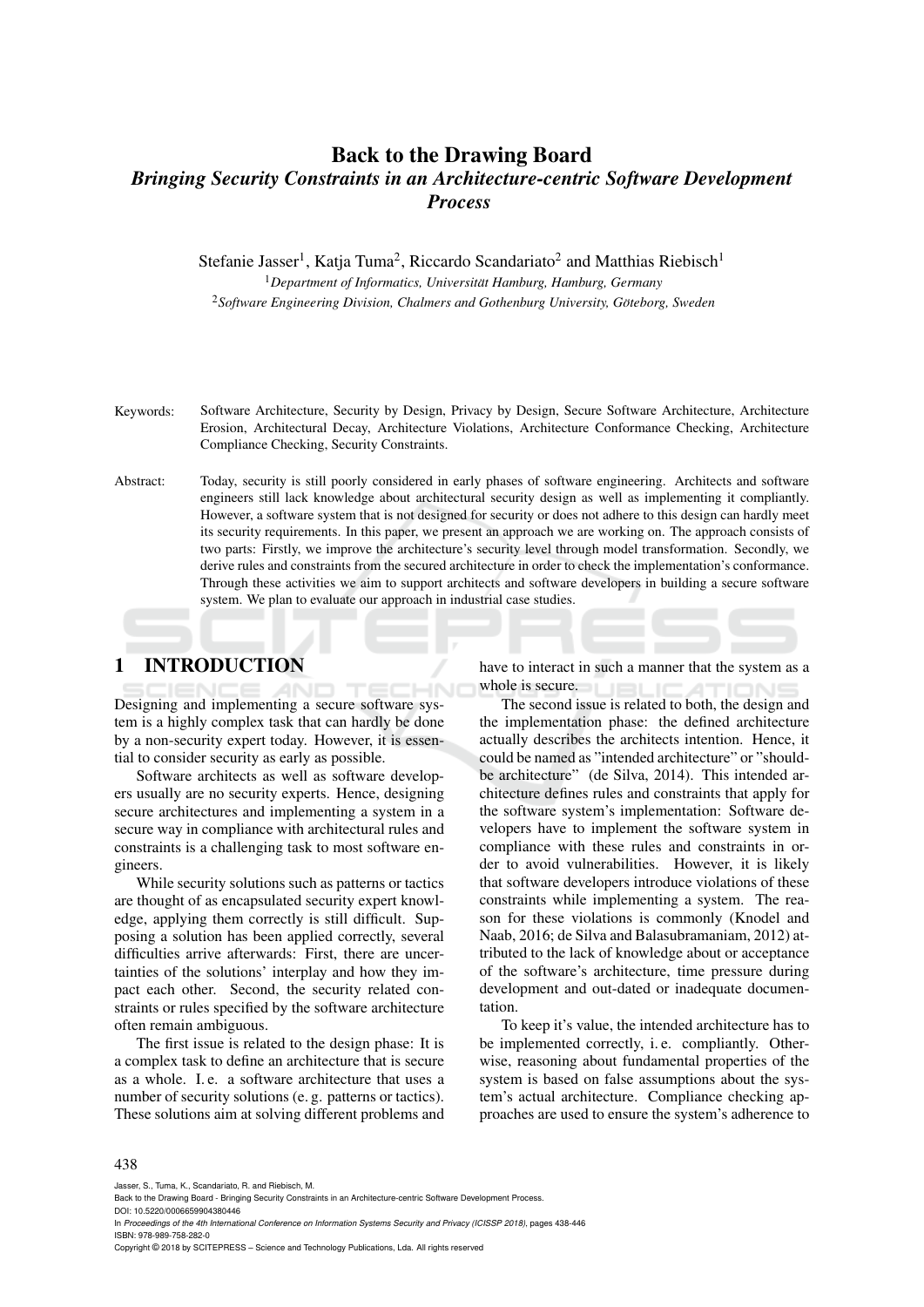# Back to the Drawing Board *Bringing Security Constraints in an Architecture-centric Software Development Process*

Stefanie Jasser<sup>1</sup>, Katja Tuma<sup>2</sup>, Riccardo Scandariato<sup>2</sup> and Matthias Riebisch<sup>1</sup> <sup>1</sup>Department of Informatics, Universität Hamburg, Hamburg, Germany <sup>2</sup>*Software Engineering Division, Chalmers and Gothenburg University, Goteborg, Sweden ¨*

- Keywords: Software Architecture, Security by Design, Privacy by Design, Secure Software Architecture, Architecture Erosion, Architectural Decay, Architecture Violations, Architecture Conformance Checking, Architecture Compliance Checking, Security Constraints.
- Abstract: Today, security is still poorly considered in early phases of software engineering. Architects and software engineers still lack knowledge about architectural security design as well as implementing it compliantly. However, a software system that is not designed for security or does not adhere to this design can hardly meet its security requirements. In this paper, we present an approach we are working on. The approach consists of two parts: Firstly, we improve the architecture's security level through model transformation. Secondly, we derive rules and constraints from the secured architecture in order to check the implementation's conformance. Through these activities we aim to support architects and software developers in building a secure software system. We plan to evaluate our approach in industrial case studies.

## 1 INTRODUCTION

Designing and implementing a secure software system is a highly complex task that can hardly be done by a non-security expert today. However, it is essential to consider security as early as possible.

Software architects as well as software developers usually are no security experts. Hence, designing secure architectures and implementing a system in a secure way in compliance with architectural rules and constraints is a challenging task to most software engineers.

While security solutions such as patterns or tactics are thought of as encapsulated security expert knowledge, applying them correctly is still difficult. Supposing a solution has been applied correctly, several difficulties arrive afterwards: First, there are uncertainties of the solutions' interplay and how they impact each other. Second, the security related constraints or rules specified by the software architecture often remain ambiguous.

The first issue is related to the design phase: It is a complex task to define an architecture that is secure as a whole. I. e. a software architecture that uses a number of security solutions (e. g. patterns or tactics). These solutions aim at solving different problems and

have to interact in such a manner that the system as a whole is secure.  $\overline{1}$ 

The second issue is related to both, the design and the implementation phase: the defined architecture actually describes the architects intention. Hence, it could be named as "intended architecture" or "shouldbe architecture" (de Silva, 2014). This intended architecture defines rules and constraints that apply for the software system's implementation: Software developers have to implement the software system in compliance with these rules and constraints in order to avoid vulnerabilities. However, it is likely that software developers introduce violations of these constraints while implementing a system. The reason for these violations is commonly (Knodel and Naab, 2016; de Silva and Balasubramaniam, 2012) attributed to the lack of knowledge about or acceptance of the software's architecture, time pressure during development and out-dated or inadequate documentation.

To keep it's value, the intended architecture has to be implemented correctly, i. e. compliantly. Otherwise, reasoning about fundamental properties of the system is based on false assumptions about the system's actual architecture. Compliance checking approaches are used to ensure the system's adherence to

#### 438

Jasser, S., Tuma, K., Scandariato, R. and Riebisch, M.

In *Proceedings of the 4th International Conference on Information Systems Security and Privacy (ICISSP 2018)*, pages 438-446 ISBN: 978-989-758-282-0

Copyright © 2018 by SCITEPRESS – Science and Technology Publications, Lda. All rights reserved

Back to the Drawing Board - Bringing Security Constraints in an Architecture-centric Software Development Process. DOI: 10.5220/0006659904380446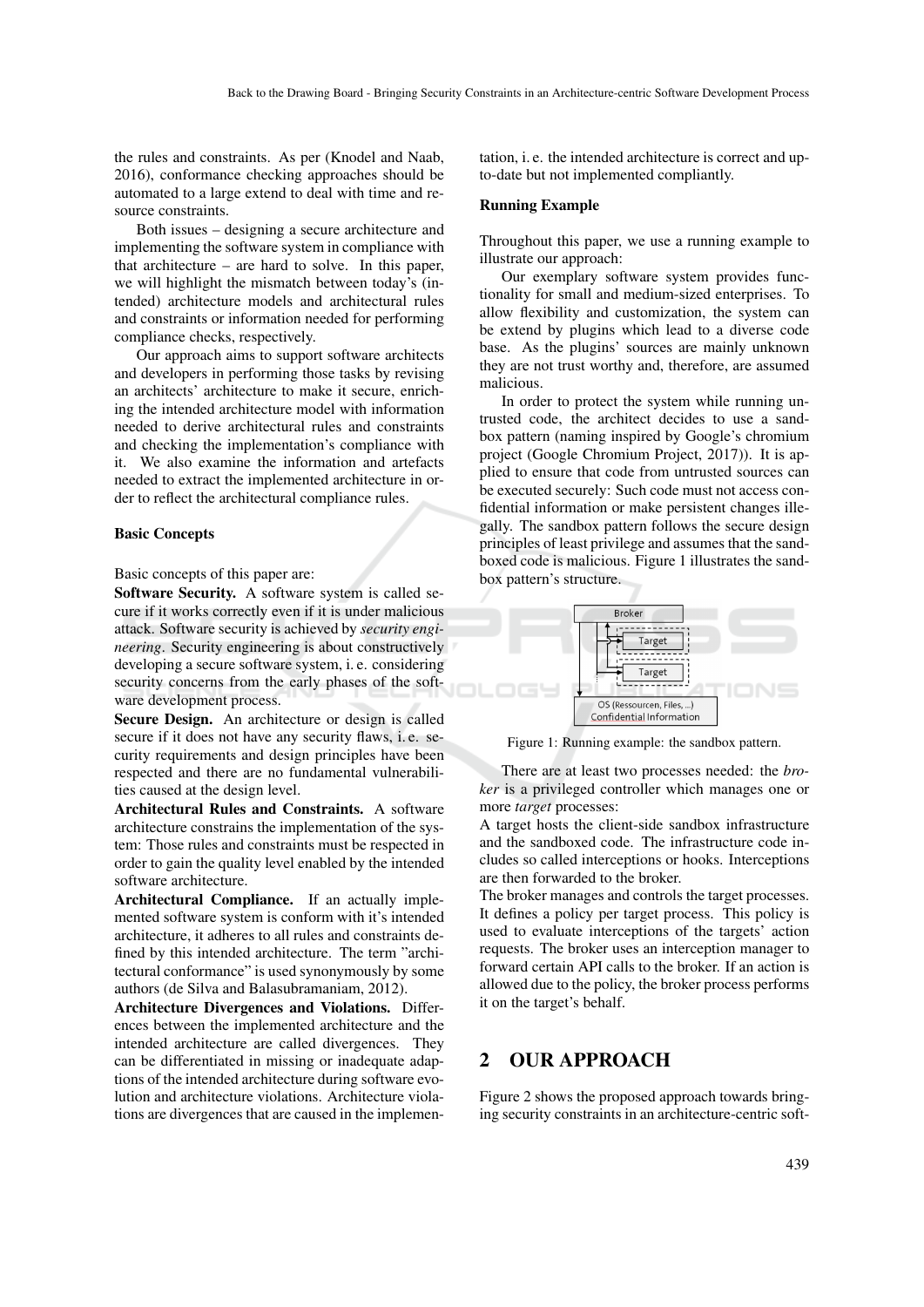the rules and constraints. As per (Knodel and Naab, 2016), conformance checking approaches should be automated to a large extend to deal with time and resource constraints.

Both issues – designing a secure architecture and implementing the software system in compliance with that architecture – are hard to solve. In this paper, we will highlight the mismatch between today's (intended) architecture models and architectural rules and constraints or information needed for performing compliance checks, respectively.

Our approach aims to support software architects and developers in performing those tasks by revising an architects' architecture to make it secure, enriching the intended architecture model with information needed to derive architectural rules and constraints and checking the implementation's compliance with it. We also examine the information and artefacts needed to extract the implemented architecture in order to reflect the architectural compliance rules.

#### Basic Concepts

Basic concepts of this paper are:

Software Security. A software system is called secure if it works correctly even if it is under malicious attack. Software security is achieved by *security engineering*. Security engineering is about constructively developing a secure software system, i. e. considering security concerns from the early phases of the software development process.

Secure Design. An architecture or design is called secure if it does not have any security flaws, i. e. security requirements and design principles have been respected and there are no fundamental vulnerabilities caused at the design level.

Architectural Rules and Constraints. A software architecture constrains the implementation of the system: Those rules and constraints must be respected in order to gain the quality level enabled by the intended software architecture.

Architectural Compliance. If an actually implemented software system is conform with it's intended architecture, it adheres to all rules and constraints defined by this intended architecture. The term "architectural conformance" is used synonymously by some authors (de Silva and Balasubramaniam, 2012).

Architecture Divergences and Violations. Differences between the implemented architecture and the intended architecture are called divergences. They can be differentiated in missing or inadequate adaptions of the intended architecture during software evolution and architecture violations. Architecture violations are divergences that are caused in the implementation, i. e. the intended architecture is correct and upto-date but not implemented compliantly.

#### Running Example

Throughout this paper, we use a running example to illustrate our approach:

Our exemplary software system provides functionality for small and medium-sized enterprises. To allow flexibility and customization, the system can be extend by plugins which lead to a diverse code base. As the plugins' sources are mainly unknown they are not trust worthy and, therefore, are assumed malicious.

In order to protect the system while running untrusted code, the architect decides to use a sandbox pattern (naming inspired by Google's chromium project (Google Chromium Project, 2017)). It is applied to ensure that code from untrusted sources can be executed securely: Such code must not access confidential information or make persistent changes illegally. The sandbox pattern follows the secure design principles of least privilege and assumes that the sandboxed code is malicious. Figure 1 illustrates the sandbox pattern's structure.



Figure 1: Running example: the sandbox pattern.

There are at least two processes needed: the *broker* is a privileged controller which manages one or more *target* processes:

A target hosts the client-side sandbox infrastructure and the sandboxed code. The infrastructure code includes so called interceptions or hooks. Interceptions are then forwarded to the broker.

The broker manages and controls the target processes. It defines a policy per target process. This policy is used to evaluate interceptions of the targets' action requests. The broker uses an interception manager to forward certain API calls to the broker. If an action is allowed due to the policy, the broker process performs it on the target's behalf.

## 2 OUR APPROACH

Figure 2 shows the proposed approach towards bringing security constraints in an architecture-centric soft-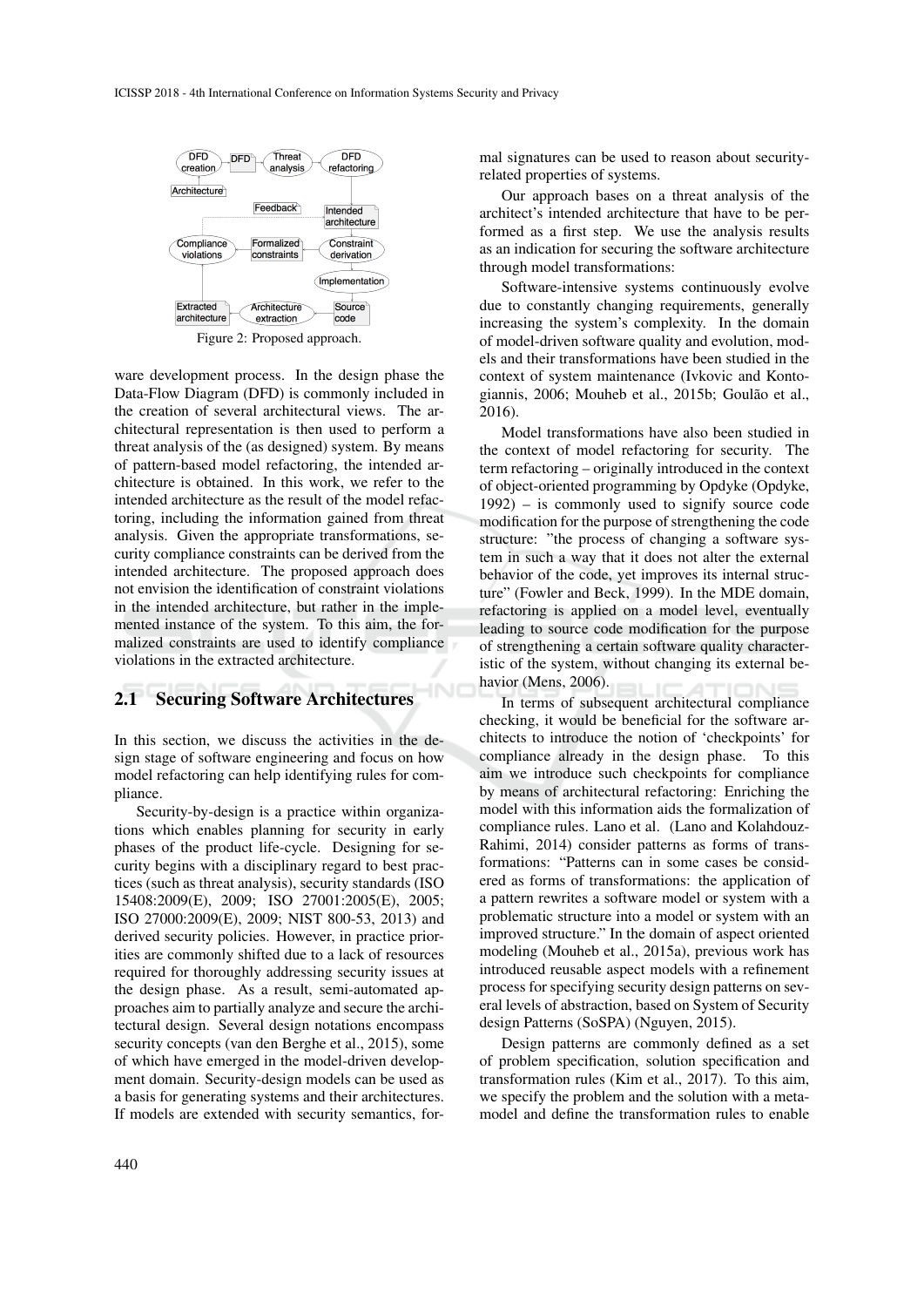

Figure 2: Proposed approach.

ware development process. In the design phase the Data-Flow Diagram (DFD) is commonly included in the creation of several architectural views. The architectural representation is then used to perform a threat analysis of the (as designed) system. By means of pattern-based model refactoring, the intended architecture is obtained. In this work, we refer to the intended architecture as the result of the model refactoring, including the information gained from threat analysis. Given the appropriate transformations, security compliance constraints can be derived from the intended architecture. The proposed approach does not envision the identification of constraint violations in the intended architecture, but rather in the implemented instance of the system. To this aim, the formalized constraints are used to identify compliance violations in the extracted architecture.

### 2.1 Securing Software Architectures

In this section, we discuss the activities in the design stage of software engineering and focus on how model refactoring can help identifying rules for compliance.

INI

Security-by-design is a practice within organizations which enables planning for security in early phases of the product life-cycle. Designing for security begins with a disciplinary regard to best practices (such as threat analysis), security standards (ISO 15408:2009(E), 2009; ISO 27001:2005(E), 2005; ISO 27000:2009(E), 2009; NIST 800-53, 2013) and derived security policies. However, in practice priorities are commonly shifted due to a lack of resources required for thoroughly addressing security issues at the design phase. As a result, semi-automated approaches aim to partially analyze and secure the architectural design. Several design notations encompass security concepts (van den Berghe et al., 2015), some of which have emerged in the model-driven development domain. Security-design models can be used as a basis for generating systems and their architectures. If models are extended with security semantics, formal signatures can be used to reason about securityrelated properties of systems.

Our approach bases on a threat analysis of the architect's intended architecture that have to be performed as a first step. We use the analysis results as an indication for securing the software architecture through model transformations:

Software-intensive systems continuously evolve due to constantly changing requirements, generally increasing the system's complexity. In the domain of model-driven software quality and evolution, models and their transformations have been studied in the context of system maintenance (Ivkovic and Kontogiannis, 2006; Mouheb et al., 2015b; Goulão et al., 2016).

Model transformations have also been studied in the context of model refactoring for security. The term refactoring – originally introduced in the context of object-oriented programming by Opdyke (Opdyke, 1992) – is commonly used to signify source code modification for the purpose of strengthening the code structure: "the process of changing a software system in such a way that it does not alter the external behavior of the code, yet improves its internal structure" (Fowler and Beck, 1999). In the MDE domain, refactoring is applied on a model level, eventually leading to source code modification for the purpose of strengthening a certain software quality characteristic of the system, without changing its external behavior (Mens, 2006).

In terms of subsequent architectural compliance checking, it would be beneficial for the software architects to introduce the notion of 'checkpoints' for compliance already in the design phase. To this aim we introduce such checkpoints for compliance by means of architectural refactoring: Enriching the model with this information aids the formalization of compliance rules. Lano et al. (Lano and Kolahdouz-Rahimi, 2014) consider patterns as forms of transformations: "Patterns can in some cases be considered as forms of transformations: the application of a pattern rewrites a software model or system with a problematic structure into a model or system with an improved structure." In the domain of aspect oriented modeling (Mouheb et al., 2015a), previous work has introduced reusable aspect models with a refinement process for specifying security design patterns on several levels of abstraction, based on System of Security design Patterns (SoSPA) (Nguyen, 2015).

Design patterns are commonly defined as a set of problem specification, solution specification and transformation rules (Kim et al., 2017). To this aim, we specify the problem and the solution with a metamodel and define the transformation rules to enable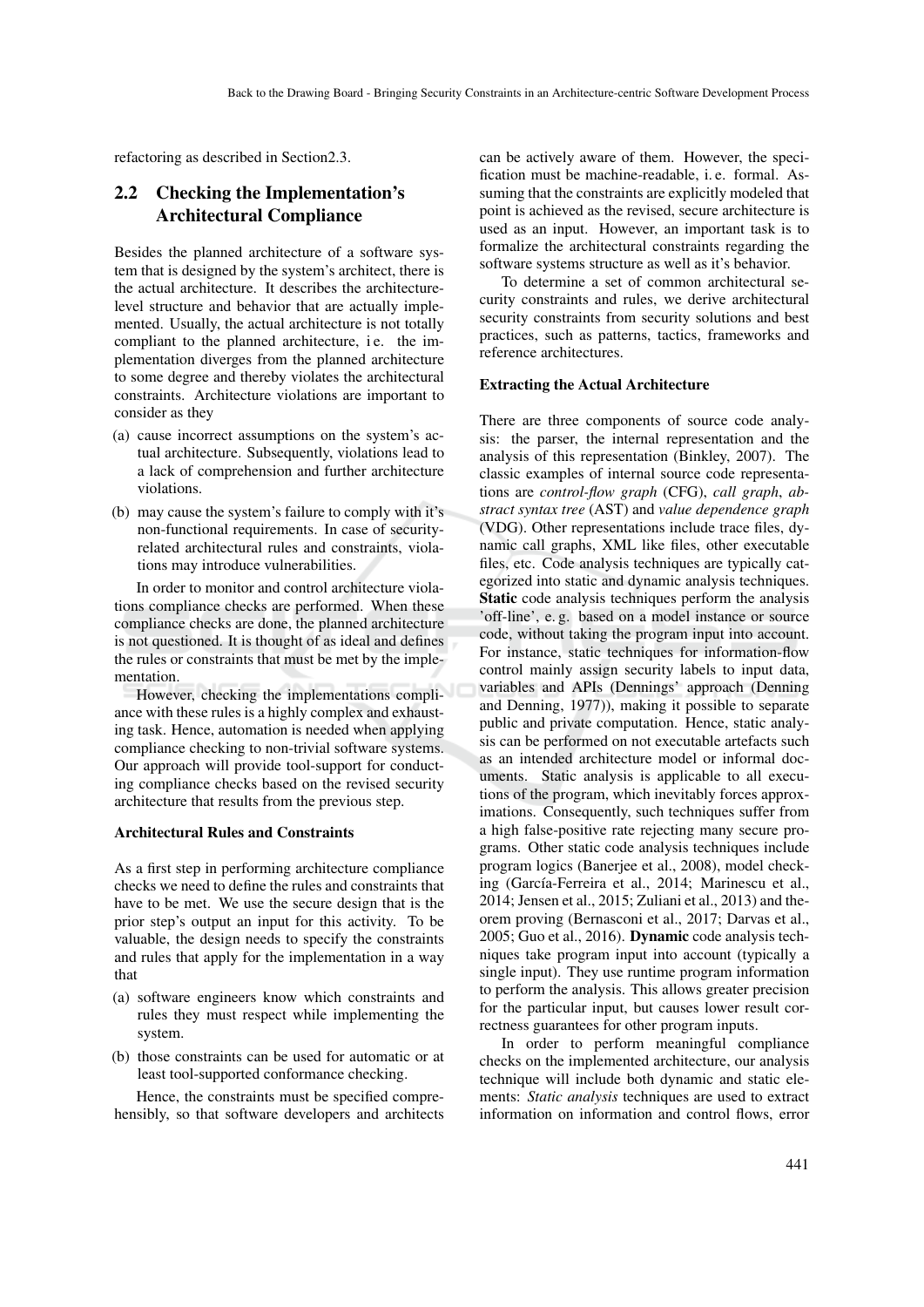refactoring as described in Section2.3.

## 2.2 Checking the Implementation's Architectural Compliance

Besides the planned architecture of a software system that is designed by the system's architect, there is the actual architecture. It describes the architecturelevel structure and behavior that are actually implemented. Usually, the actual architecture is not totally compliant to the planned architecture, i.e. the implementation diverges from the planned architecture to some degree and thereby violates the architectural constraints. Architecture violations are important to consider as they

- (a) cause incorrect assumptions on the system's actual architecture. Subsequently, violations lead to a lack of comprehension and further architecture violations.
- (b) may cause the system's failure to comply with it's non-functional requirements. In case of securityrelated architectural rules and constraints, violations may introduce vulnerabilities.

In order to monitor and control architecture violations compliance checks are performed. When these compliance checks are done, the planned architecture is not questioned. It is thought of as ideal and defines the rules or constraints that must be met by the implementation.

However, checking the implementations compliance with these rules is a highly complex and exhausting task. Hence, automation is needed when applying compliance checking to non-trivial software systems. Our approach will provide tool-support for conducting compliance checks based on the revised security architecture that results from the previous step.

#### Architectural Rules and Constraints

As a first step in performing architecture compliance checks we need to define the rules and constraints that have to be met. We use the secure design that is the prior step's output an input for this activity. To be valuable, the design needs to specify the constraints and rules that apply for the implementation in a way that

- (a) software engineers know which constraints and rules they must respect while implementing the system.
- (b) those constraints can be used for automatic or at least tool-supported conformance checking.

Hence, the constraints must be specified comprehensibly, so that software developers and architects can be actively aware of them. However, the specification must be machine-readable, i. e. formal. Assuming that the constraints are explicitly modeled that point is achieved as the revised, secure architecture is used as an input. However, an important task is to formalize the architectural constraints regarding the software systems structure as well as it's behavior.

To determine a set of common architectural security constraints and rules, we derive architectural security constraints from security solutions and best practices, such as patterns, tactics, frameworks and reference architectures.

#### Extracting the Actual Architecture

There are three components of source code analysis: the parser, the internal representation and the analysis of this representation (Binkley, 2007). The classic examples of internal source code representations are *control-flow graph* (CFG), *call graph*, *abstract syntax tree* (AST) and *value dependence graph* (VDG). Other representations include trace files, dynamic call graphs, XML like files, other executable files, etc. Code analysis techniques are typically categorized into static and dynamic analysis techniques. Static code analysis techniques perform the analysis 'off-line', e. g. based on a model instance or source code, without taking the program input into account. For instance, static techniques for information-flow control mainly assign security labels to input data, variables and APIs (Dennings' approach (Denning and Denning, 1977)), making it possible to separate public and private computation. Hence, static analysis can be performed on not executable artefacts such as an intended architecture model or informal documents. Static analysis is applicable to all executions of the program, which inevitably forces approximations. Consequently, such techniques suffer from a high false-positive rate rejecting many secure programs. Other static code analysis techniques include program logics (Banerjee et al., 2008), model checking (García-Ferreira et al., 2014; Marinescu et al., 2014; Jensen et al., 2015; Zuliani et al., 2013) and theorem proving (Bernasconi et al., 2017; Darvas et al., 2005; Guo et al., 2016). Dynamic code analysis techniques take program input into account (typically a single input). They use runtime program information to perform the analysis. This allows greater precision for the particular input, but causes lower result correctness guarantees for other program inputs.

In order to perform meaningful compliance checks on the implemented architecture, our analysis technique will include both dynamic and static elements: *Static analysis* techniques are used to extract information on information and control flows, error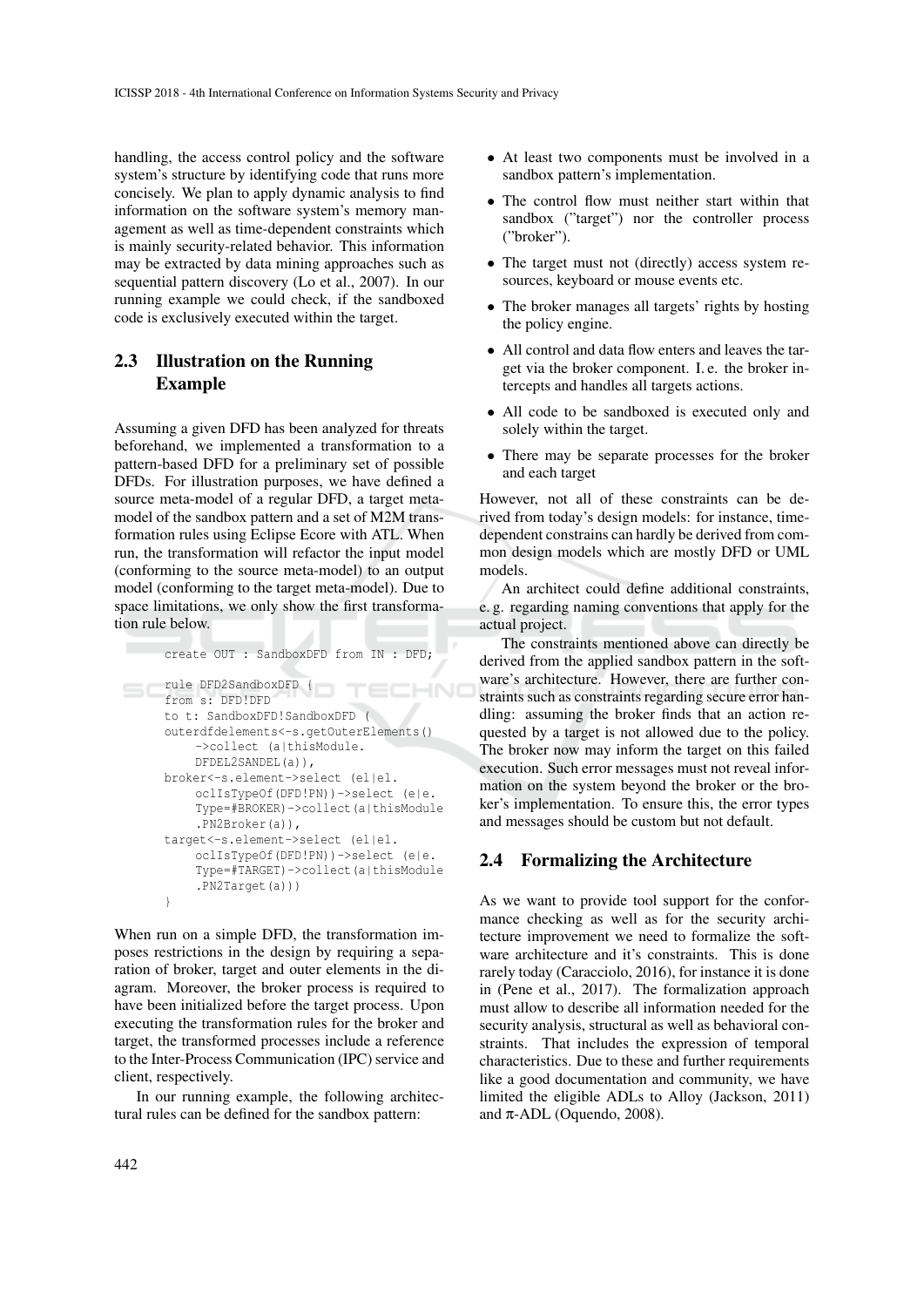handling, the access control policy and the software system's structure by identifying code that runs more concisely. We plan to apply dynamic analysis to find information on the software system's memory management as well as time-dependent constraints which is mainly security-related behavior. This information may be extracted by data mining approaches such as sequential pattern discovery (Lo et al., 2007). In our running example we could check, if the sandboxed code is exclusively executed within the target.

## 2.3 Illustration on the Running Example

Assuming a given DFD has been analyzed for threats beforehand, we implemented a transformation to a pattern-based DFD for a preliminary set of possible DFDs. For illustration purposes, we have defined a source meta-model of a regular DFD, a target metamodel of the sandbox pattern and a set of M2M transformation rules using Eclipse Ecore with ATL. When run, the transformation will refactor the input model (conforming to the source meta-model) to an output model (conforming to the target meta-model). Due to space limitations, we only show the first transformation rule below.

```
create OUT : SandboxDFD from IN : DFD;
```

```
rule DFD2SandboxDFD {
                          TECHN(
from s: DFD!DFD
to t: SandboxDFD!SandboxDFD (
outerdfdelements<-s.getOuterElements()
    ->collect (a|thisModule.
    DFDEL2SANDEL(a)),
broker<-s.element->select (el|el.
    oclIsTypeOf(DFD!PN))->select (e|e.
    Type=#BROKER)->collect(a|thisModule
    .PN2Broker(a)),
target<-s.element->select (el|el.
    oclIsTypeOf(DFD!PN))->select (e|e.
    Type=#TARGET)->collect(a|thisModule
    .PN2Target(a)))
}
```
When run on a simple DFD, the transformation imposes restrictions in the design by requiring a separation of broker, target and outer elements in the diagram. Moreover, the broker process is required to have been initialized before the target process. Upon executing the transformation rules for the broker and target, the transformed processes include a reference to the Inter-Process Communication (IPC) service and client, respectively.

In our running example, the following architectural rules can be defined for the sandbox pattern:

- At least two components must be involved in a sandbox pattern's implementation.
- The control flow must neither start within that sandbox ("target") nor the controller process ("broker").
- The target must not (directly) access system resources, keyboard or mouse events etc.
- The broker manages all targets' rights by hosting the policy engine.
- All control and data flow enters and leaves the target via the broker component. I. e. the broker intercepts and handles all targets actions.
- All code to be sandboxed is executed only and solely within the target.
- There may be separate processes for the broker and each target

However, not all of these constraints can be derived from today's design models: for instance, timedependent constrains can hardly be derived from common design models which are mostly DFD or UML models.

An architect could define additional constraints, e. g. regarding naming conventions that apply for the actual project.

The constraints mentioned above can directly be derived from the applied sandbox pattern in the software's architecture. However, there are further constraints such as constraints regarding secure error handling: assuming the broker finds that an action requested by a target is not allowed due to the policy. The broker now may inform the target on this failed execution. Such error messages must not reveal information on the system beyond the broker or the broker's implementation. To ensure this, the error types and messages should be custom but not default.

### 2.4 Formalizing the Architecture

As we want to provide tool support for the conformance checking as well as for the security architecture improvement we need to formalize the software architecture and it's constraints. This is done rarely today (Caracciolo, 2016), for instance it is done in (Pene et al., 2017). The formalization approach must allow to describe all information needed for the security analysis, structural as well as behavioral constraints. That includes the expression of temporal characteristics. Due to these and further requirements like a good documentation and community, we have limited the eligible ADLs to Alloy (Jackson, 2011) and  $\pi$ -ADL (Oquendo, 2008).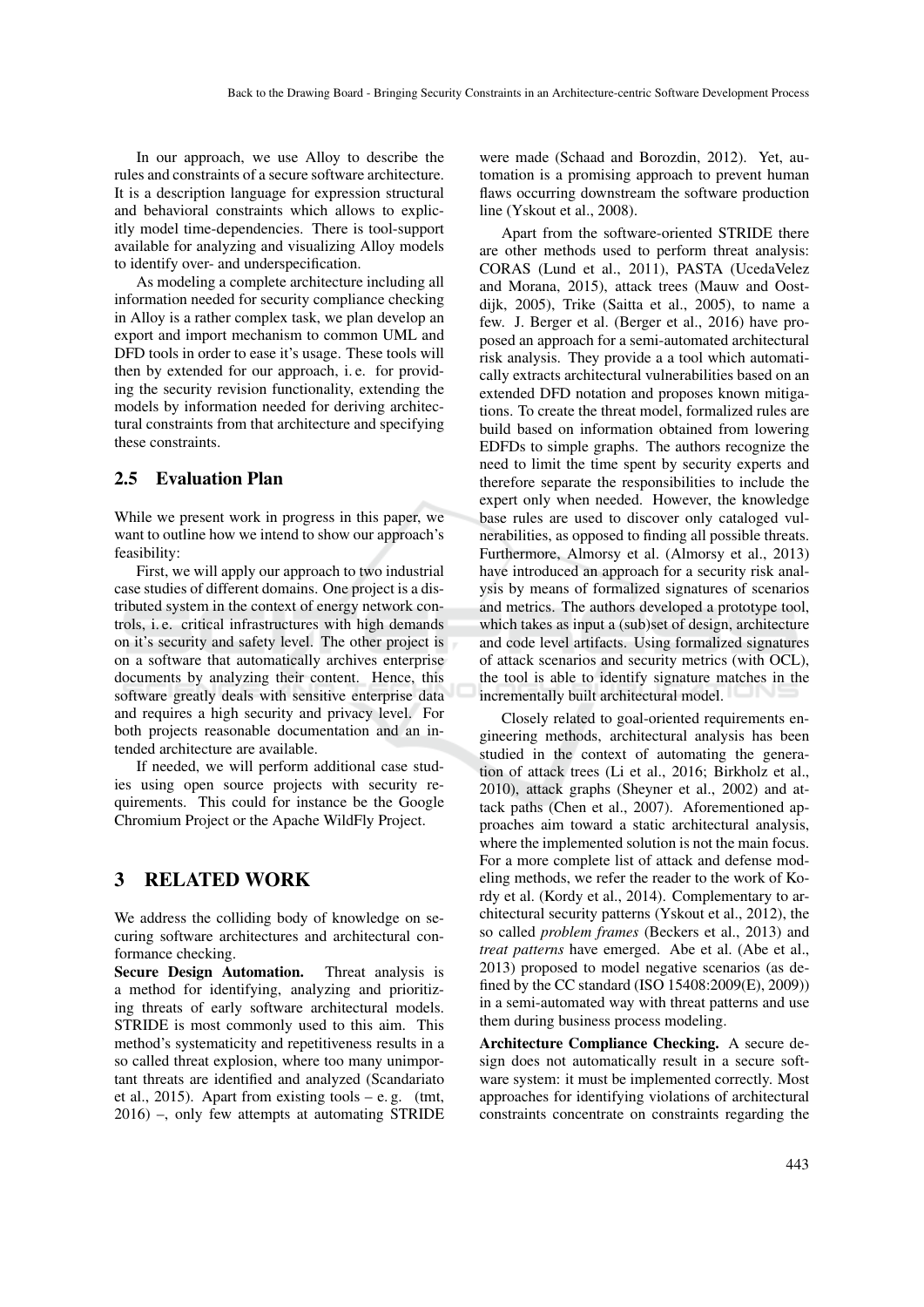In our approach, we use Alloy to describe the rules and constraints of a secure software architecture. It is a description language for expression structural and behavioral constraints which allows to explicitly model time-dependencies. There is tool-support available for analyzing and visualizing Alloy models to identify over- and underspecification.

As modeling a complete architecture including all information needed for security compliance checking in Alloy is a rather complex task, we plan develop an export and import mechanism to common UML and DFD tools in order to ease it's usage. These tools will then by extended for our approach, i. e. for providing the security revision functionality, extending the models by information needed for deriving architectural constraints from that architecture and specifying these constraints.

### 2.5 Evaluation Plan

While we present work in progress in this paper, we want to outline how we intend to show our approach's feasibility:

First, we will apply our approach to two industrial case studies of different domains. One project is a distributed system in the context of energy network controls, i. e. critical infrastructures with high demands on it's security and safety level. The other project is on a software that automatically archives enterprise documents by analyzing their content. Hence, this software greatly deals with sensitive enterprise data and requires a high security and privacy level. For both projects reasonable documentation and an intended architecture are available.

If needed, we will perform additional case studies using open source projects with security requirements. This could for instance be the Google Chromium Project or the Apache WildFly Project.

### 3 RELATED WORK

We address the colliding body of knowledge on securing software architectures and architectural conformance checking.

Secure Design Automation. Threat analysis is a method for identifying, analyzing and prioritizing threats of early software architectural models. STRIDE is most commonly used to this aim. This method's systematicity and repetitiveness results in a so called threat explosion, where too many unimportant threats are identified and analyzed (Scandariato et al., 2015). Apart from existing tools – e.g. (tmt, 2016) –, only few attempts at automating STRIDE were made (Schaad and Borozdin, 2012). Yet, automation is a promising approach to prevent human flaws occurring downstream the software production line (Yskout et al., 2008).

Apart from the software-oriented STRIDE there are other methods used to perform threat analysis: CORAS (Lund et al., 2011), PASTA (UcedaVelez and Morana, 2015), attack trees (Mauw and Oostdijk, 2005), Trike (Saitta et al., 2005), to name a few. J. Berger et al. (Berger et al., 2016) have proposed an approach for a semi-automated architectural risk analysis. They provide a a tool which automatically extracts architectural vulnerabilities based on an extended DFD notation and proposes known mitigations. To create the threat model, formalized rules are build based on information obtained from lowering EDFDs to simple graphs. The authors recognize the need to limit the time spent by security experts and therefore separate the responsibilities to include the expert only when needed. However, the knowledge base rules are used to discover only cataloged vulnerabilities, as opposed to finding all possible threats. Furthermore, Almorsy et al. (Almorsy et al., 2013) have introduced an approach for a security risk analysis by means of formalized signatures of scenarios and metrics. The authors developed a prototype tool, which takes as input a (sub)set of design, architecture and code level artifacts. Using formalized signatures of attack scenarios and security metrics (with OCL), the tool is able to identify signature matches in the incrementally built architectural model.

Closely related to goal-oriented requirements engineering methods, architectural analysis has been studied in the context of automating the generation of attack trees (Li et al., 2016; Birkholz et al., 2010), attack graphs (Sheyner et al., 2002) and attack paths (Chen et al., 2007). Aforementioned approaches aim toward a static architectural analysis, where the implemented solution is not the main focus. For a more complete list of attack and defense modeling methods, we refer the reader to the work of Kordy et al. (Kordy et al., 2014). Complementary to architectural security patterns (Yskout et al., 2012), the so called *problem frames* (Beckers et al., 2013) and *treat patterns* have emerged. Abe et al. (Abe et al., 2013) proposed to model negative scenarios (as defined by the CC standard (ISO 15408:2009(E), 2009)) in a semi-automated way with threat patterns and use them during business process modeling.

Architecture Compliance Checking. A secure design does not automatically result in a secure software system: it must be implemented correctly. Most approaches for identifying violations of architectural constraints concentrate on constraints regarding the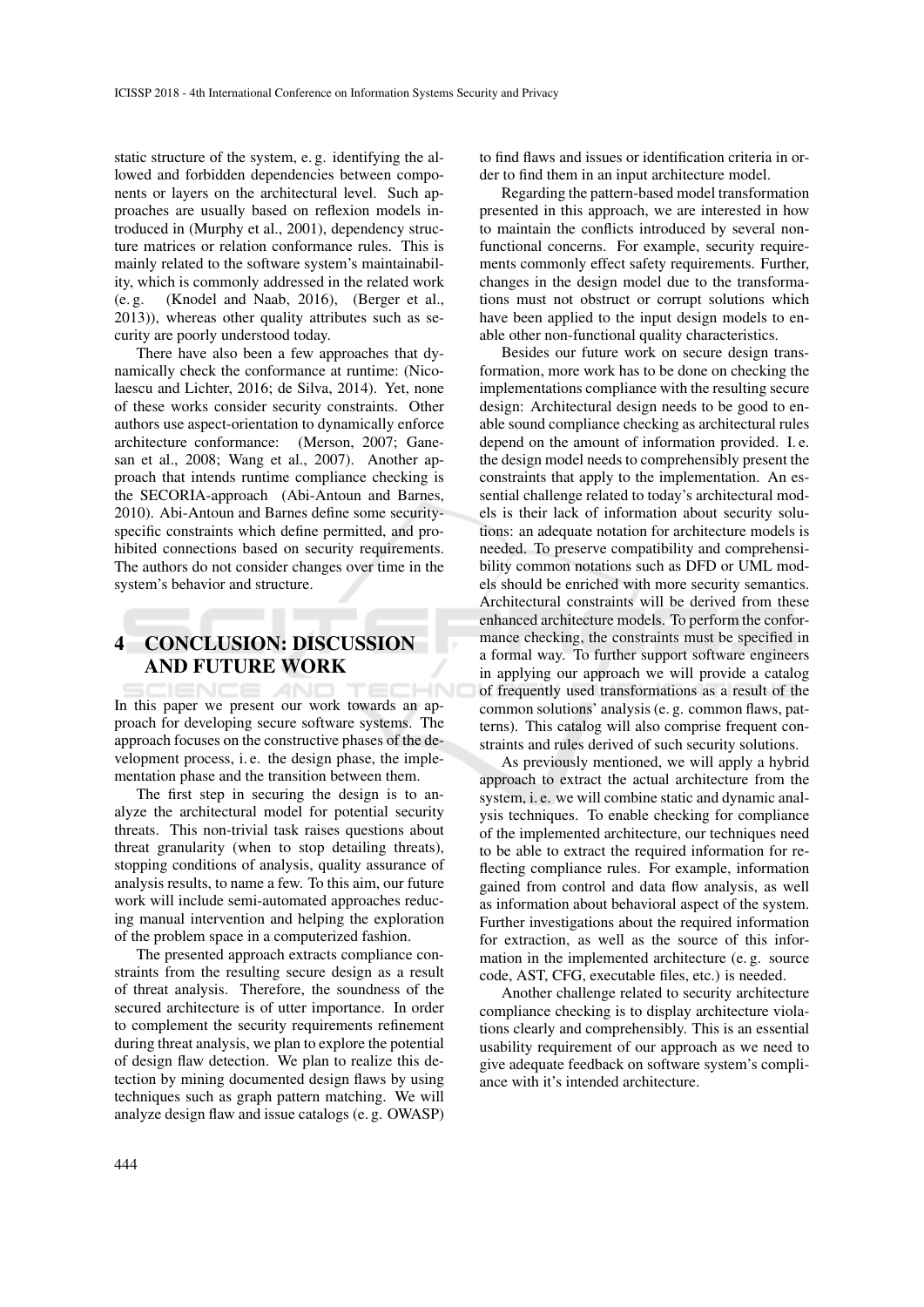static structure of the system, e. g. identifying the allowed and forbidden dependencies between components or layers on the architectural level. Such approaches are usually based on reflexion models introduced in (Murphy et al., 2001), dependency structure matrices or relation conformance rules. This is mainly related to the software system's maintainability, which is commonly addressed in the related work (e. g. (Knodel and Naab, 2016), (Berger et al., 2013)), whereas other quality attributes such as security are poorly understood today.

There have also been a few approaches that dynamically check the conformance at runtime: (Nicolaescu and Lichter, 2016; de Silva, 2014). Yet, none of these works consider security constraints. Other authors use aspect-orientation to dynamically enforce architecture conformance: (Merson, 2007; Ganesan et al., 2008; Wang et al., 2007). Another approach that intends runtime compliance checking is the SECORIA-approach (Abi-Antoun and Barnes, 2010). Abi-Antoun and Barnes define some securityspecific constraints which define permitted, and prohibited connections based on security requirements. The authors do not consider changes over time in the system's behavior and structure.

# 4 CONCLUSION: DISCUSSION AND FUTURE WORK

In this paper we present our work towards an approach for developing secure software systems. The approach focuses on the constructive phases of the development process, i. e. the design phase, the implementation phase and the transition between them.

The first step in securing the design is to analyze the architectural model for potential security threats. This non-trivial task raises questions about threat granularity (when to stop detailing threats), stopping conditions of analysis, quality assurance of analysis results, to name a few. To this aim, our future work will include semi-automated approaches reducing manual intervention and helping the exploration of the problem space in a computerized fashion.

The presented approach extracts compliance constraints from the resulting secure design as a result of threat analysis. Therefore, the soundness of the secured architecture is of utter importance. In order to complement the security requirements refinement during threat analysis, we plan to explore the potential of design flaw detection. We plan to realize this detection by mining documented design flaws by using techniques such as graph pattern matching. We will analyze design flaw and issue catalogs (e. g. OWASP)

to find flaws and issues or identification criteria in order to find them in an input architecture model.

Regarding the pattern-based model transformation presented in this approach, we are interested in how to maintain the conflicts introduced by several nonfunctional concerns. For example, security requirements commonly effect safety requirements. Further, changes in the design model due to the transformations must not obstruct or corrupt solutions which have been applied to the input design models to enable other non-functional quality characteristics.

Besides our future work on secure design transformation, more work has to be done on checking the implementations compliance with the resulting secure design: Architectural design needs to be good to enable sound compliance checking as architectural rules depend on the amount of information provided. I. e. the design model needs to comprehensibly present the constraints that apply to the implementation. An essential challenge related to today's architectural models is their lack of information about security solutions: an adequate notation for architecture models is needed. To preserve compatibility and comprehensibility common notations such as DFD or UML models should be enriched with more security semantics. Architectural constraints will be derived from these enhanced architecture models. To perform the conformance checking, the constraints must be specified in a formal way. To further support software engineers in applying our approach we will provide a catalog of frequently used transformations as a result of the common solutions' analysis (e. g. common flaws, patterns). This catalog will also comprise frequent constraints and rules derived of such security solutions.

As previously mentioned, we will apply a hybrid approach to extract the actual architecture from the system, i. e. we will combine static and dynamic analysis techniques. To enable checking for compliance of the implemented architecture, our techniques need to be able to extract the required information for reflecting compliance rules. For example, information gained from control and data flow analysis, as well as information about behavioral aspect of the system. Further investigations about the required information for extraction, as well as the source of this information in the implemented architecture (e. g. source code, AST, CFG, executable files, etc.) is needed.

Another challenge related to security architecture compliance checking is to display architecture violations clearly and comprehensibly. This is an essential usability requirement of our approach as we need to give adequate feedback on software system's compliance with it's intended architecture.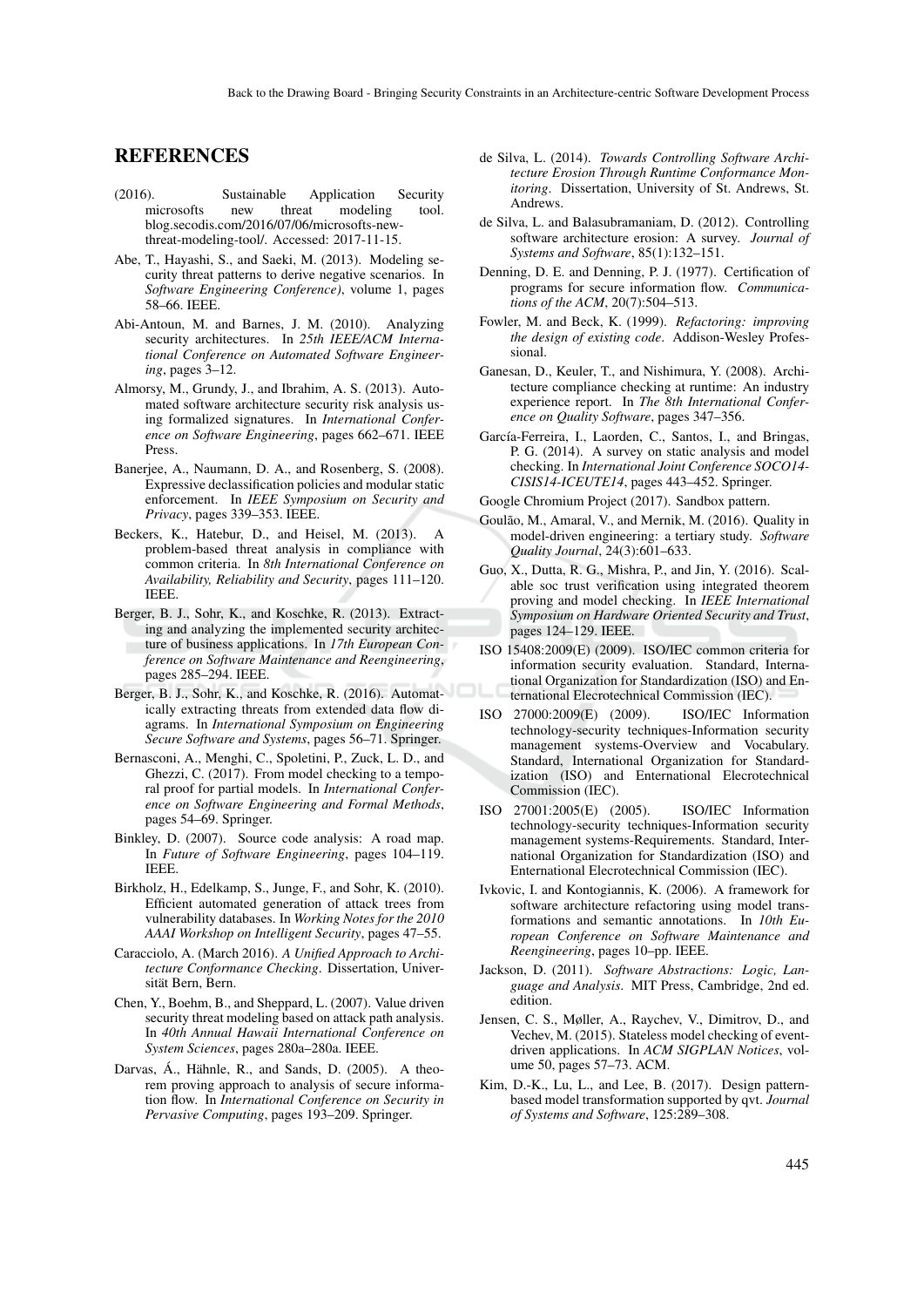## REFERENCES

- (2016). Sustainable Application Security<br>microsofts new threat modeling tool. modeling blog.secodis.com/2016/07/06/microsofts-newthreat-modeling-tool/. Accessed: 2017-11-15.
- Abe, T., Hayashi, S., and Saeki, M. (2013). Modeling security threat patterns to derive negative scenarios. In *Software Engineering Conference)*, volume 1, pages 58–66. IEEE.
- Abi-Antoun, M. and Barnes, J. M. (2010). Analyzing security architectures. In *25th IEEE/ACM International Conference on Automated Software Engineering*, pages 3–12.
- Almorsy, M., Grundy, J., and Ibrahim, A. S. (2013). Automated software architecture security risk analysis using formalized signatures. In *International Conference on Software Engineering*, pages 662–671. IEEE Press.
- Banerjee, A., Naumann, D. A., and Rosenberg, S. (2008). Expressive declassification policies and modular static enforcement. In *IEEE Symposium on Security and Privacy*, pages 339–353. IEEE.
- Beckers, K., Hatebur, D., and Heisel, M. (2013). A problem-based threat analysis in compliance with common criteria. In *8th International Conference on Availability, Reliability and Security*, pages 111–120. IEEE.
- Berger, B. J., Sohr, K., and Koschke, R. (2013). Extracting and analyzing the implemented security architecture of business applications. In *17th European Conference on Software Maintenance and Reengineering*, pages 285–294. IEEE.
- Berger, B. J., Sohr, K., and Koschke, R. (2016). Automatically extracting threats from extended data flow diagrams. In *International Symposium on Engineering Secure Software and Systems*, pages 56–71. Springer.
- Bernasconi, A., Menghi, C., Spoletini, P., Zuck, L. D., and Ghezzi, C. (2017). From model checking to a temporal proof for partial models. In *International Conference on Software Engineering and Formal Methods*, pages 54–69. Springer.
- Binkley, D. (2007). Source code analysis: A road map. In *Future of Software Engineering*, pages 104–119. IEEE.
- Birkholz, H., Edelkamp, S., Junge, F., and Sohr, K. (2010). Efficient automated generation of attack trees from vulnerability databases. In *Working Notes for the 2010 AAAI Workshop on Intelligent Security*, pages 47–55.
- Caracciolo, A. (March 2016). *A Unified Approach to Architecture Conformance Checking*. Dissertation, Universität Bern, Bern.
- Chen, Y., Boehm, B., and Sheppard, L. (2007). Value driven security threat modeling based on attack path analysis. In *40th Annual Hawaii International Conference on System Sciences*, pages 280a–280a. IEEE.
- Darvas, Á., Hähnle, R., and Sands, D. (2005). A theorem proving approach to analysis of secure information flow. In *International Conference on Security in Pervasive Computing*, pages 193–209. Springer.
- de Silva, L. (2014). *Towards Controlling Software Architecture Erosion Through Runtime Conformance Monitoring*. Dissertation, University of St. Andrews, St. Andrews.
- de Silva, L. and Balasubramaniam, D. (2012). Controlling software architecture erosion: A survey. *Journal of Systems and Software*, 85(1):132–151.
- Denning, D. E. and Denning, P. J. (1977). Certification of programs for secure information flow. *Communications of the ACM*, 20(7):504–513.
- Fowler, M. and Beck, K. (1999). *Refactoring: improving the design of existing code*. Addison-Wesley Professional.
- Ganesan, D., Keuler, T., and Nishimura, Y. (2008). Architecture compliance checking at runtime: An industry experience report. In *The 8th International Conference on Quality Software*, pages 347–356.
- García-Ferreira, I., Laorden, C., Santos, I., and Bringas, P. G. (2014). A survey on static analysis and model checking. In *International Joint Conference SOCO14- CISIS14-ICEUTE14*, pages 443–452. Springer.
- Google Chromium Project (2017). Sandbox pattern.
- Goulão, M., Amaral, V., and Mernik, M. (2016). Quality in model-driven engineering: a tertiary study. *Software Quality Journal*, 24(3):601–633.
- Guo, X., Dutta, R. G., Mishra, P., and Jin, Y. (2016). Scalable soc trust verification using integrated theorem proving and model checking. In *IEEE International Symposium on Hardware Oriented Security and Trust*, pages 124–129. IEEE.
- ISO 15408:2009(E) (2009). ISO/IEC common criteria for information security evaluation. Standard, International Organization for Standardization (ISO) and Enternational Elecrotechnical Commission (IEC).
- ISO 27000:2009(E) (2009). ISO/IEC Information technology-security techniques-Information security management systems-Overview and Vocabulary. Standard, International Organization for Standardization (ISO) and Enternational Elecrotechnical Commission (IEC).
- ISO 27001:2005(E) (2005). ISO/IEC Information technology-security techniques-Information security management systems-Requirements. Standard, International Organization for Standardization (ISO) and Enternational Elecrotechnical Commission (IEC).
- Ivkovic, I. and Kontogiannis, K. (2006). A framework for software architecture refactoring using model transformations and semantic annotations. In *10th European Conference on Software Maintenance and Reengineering*, pages 10–pp. IEEE.
- Jackson, D. (2011). *Software Abstractions: Logic, Language and Analysis*. MIT Press, Cambridge, 2nd ed. edition.
- Jensen, C. S., Møller, A., Raychev, V., Dimitrov, D., and Vechev, M. (2015). Stateless model checking of eventdriven applications. In *ACM SIGPLAN Notices*, volume 50, pages 57–73. ACM.
- Kim, D.-K., Lu, L., and Lee, B. (2017). Design patternbased model transformation supported by qvt. *Journal of Systems and Software*, 125:289–308.